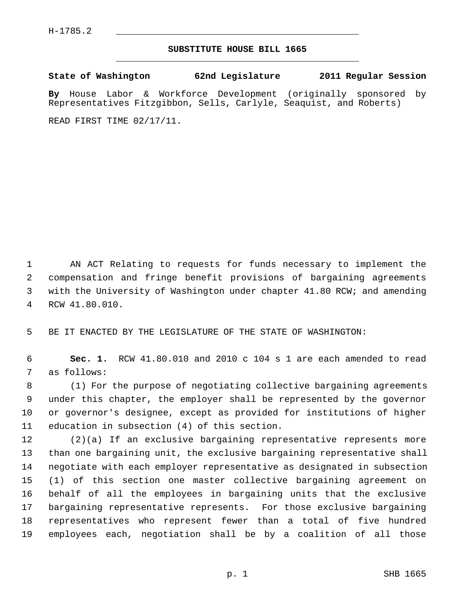## **SUBSTITUTE HOUSE BILL 1665** \_\_\_\_\_\_\_\_\_\_\_\_\_\_\_\_\_\_\_\_\_\_\_\_\_\_\_\_\_\_\_\_\_\_\_\_\_\_\_\_\_\_\_\_\_

**State of Washington 62nd Legislature 2011 Regular Session By** House Labor & Workforce Development (originally sponsored by Representatives Fitzgibbon, Sells, Carlyle, Seaquist, and Roberts)

READ FIRST TIME 02/17/11.

 1 AN ACT Relating to requests for funds necessary to implement the 2 compensation and fringe benefit provisions of bargaining agreements 3 with the University of Washington under chapter 41.80 RCW; and amending 4 RCW 41.80.010.

5 BE IT ENACTED BY THE LEGISLATURE OF THE STATE OF WASHINGTON:

 6 **Sec. 1.** RCW 41.80.010 and 2010 c 104 s 1 are each amended to read 7 as follows:

 8 (1) For the purpose of negotiating collective bargaining agreements 9 under this chapter, the employer shall be represented by the governor 10 or governor's designee, except as provided for institutions of higher 11 education in subsection (4) of this section.

12 (2)(a) If an exclusive bargaining representative represents more 13 than one bargaining unit, the exclusive bargaining representative shall 14 negotiate with each employer representative as designated in subsection 15 (1) of this section one master collective bargaining agreement on 16 behalf of all the employees in bargaining units that the exclusive 17 bargaining representative represents. For those exclusive bargaining 18 representatives who represent fewer than a total of five hundred 19 employees each, negotiation shall be by a coalition of all those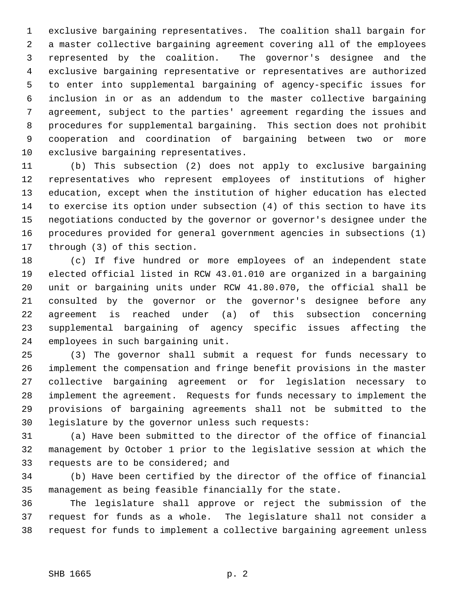1 exclusive bargaining representatives. The coalition shall bargain for 2 a master collective bargaining agreement covering all of the employees 3 represented by the coalition. The governor's designee and the 4 exclusive bargaining representative or representatives are authorized 5 to enter into supplemental bargaining of agency-specific issues for 6 inclusion in or as an addendum to the master collective bargaining 7 agreement, subject to the parties' agreement regarding the issues and 8 procedures for supplemental bargaining. This section does not prohibit 9 cooperation and coordination of bargaining between two or more 10 exclusive bargaining representatives.

11 (b) This subsection (2) does not apply to exclusive bargaining 12 representatives who represent employees of institutions of higher 13 education, except when the institution of higher education has elected 14 to exercise its option under subsection (4) of this section to have its 15 negotiations conducted by the governor or governor's designee under the 16 procedures provided for general government agencies in subsections (1) 17 through (3) of this section.

18 (c) If five hundred or more employees of an independent state 19 elected official listed in RCW 43.01.010 are organized in a bargaining 20 unit or bargaining units under RCW 41.80.070, the official shall be 21 consulted by the governor or the governor's designee before any 22 agreement is reached under (a) of this subsection concerning 23 supplemental bargaining of agency specific issues affecting the 24 employees in such bargaining unit.

25 (3) The governor shall submit a request for funds necessary to 26 implement the compensation and fringe benefit provisions in the master 27 collective bargaining agreement or for legislation necessary to 28 implement the agreement. Requests for funds necessary to implement the 29 provisions of bargaining agreements shall not be submitted to the 30 legislature by the governor unless such requests:

31 (a) Have been submitted to the director of the office of financial 32 management by October 1 prior to the legislative session at which the 33 requests are to be considered; and

34 (b) Have been certified by the director of the office of financial 35 management as being feasible financially for the state.

36 The legislature shall approve or reject the submission of the 37 request for funds as a whole. The legislature shall not consider a 38 request for funds to implement a collective bargaining agreement unless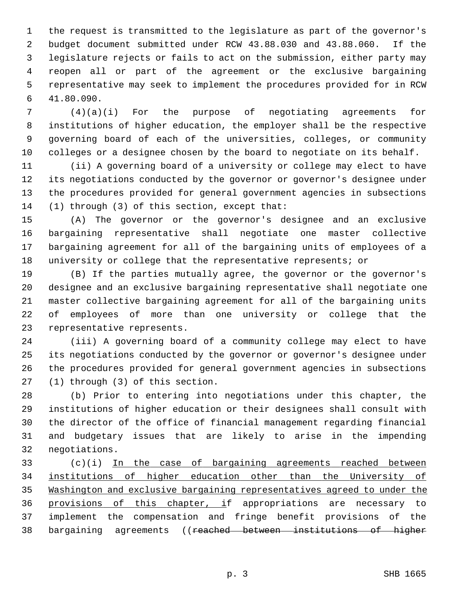1 the request is transmitted to the legislature as part of the governor's 2 budget document submitted under RCW 43.88.030 and 43.88.060. If the 3 legislature rejects or fails to act on the submission, either party may 4 reopen all or part of the agreement or the exclusive bargaining 5 representative may seek to implement the procedures provided for in RCW 6 41.80.090.

 7 (4)(a)(i) For the purpose of negotiating agreements for 8 institutions of higher education, the employer shall be the respective 9 governing board of each of the universities, colleges, or community 10 colleges or a designee chosen by the board to negotiate on its behalf.

11 (ii) A governing board of a university or college may elect to have 12 its negotiations conducted by the governor or governor's designee under 13 the procedures provided for general government agencies in subsections 14 (1) through (3) of this section, except that:

15 (A) The governor or the governor's designee and an exclusive 16 bargaining representative shall negotiate one master collective 17 bargaining agreement for all of the bargaining units of employees of a 18 university or college that the representative represents; or

19 (B) If the parties mutually agree, the governor or the governor's 20 designee and an exclusive bargaining representative shall negotiate one 21 master collective bargaining agreement for all of the bargaining units 22 of employees of more than one university or college that the 23 representative represents.

24 (iii) A governing board of a community college may elect to have 25 its negotiations conducted by the governor or governor's designee under 26 the procedures provided for general government agencies in subsections 27 (1) through (3) of this section.

28 (b) Prior to entering into negotiations under this chapter, the 29 institutions of higher education or their designees shall consult with 30 the director of the office of financial management regarding financial 31 and budgetary issues that are likely to arise in the impending 32 negotiations.

33 (c)(i) In the case of bargaining agreements reached between 34 institutions of higher education other than the University of 35 Washington and exclusive bargaining representatives agreed to under the 36 provisions of this chapter, if appropriations are necessary to 37 implement the compensation and fringe benefit provisions of the 38 bargaining agreements ((reached between institutions of higher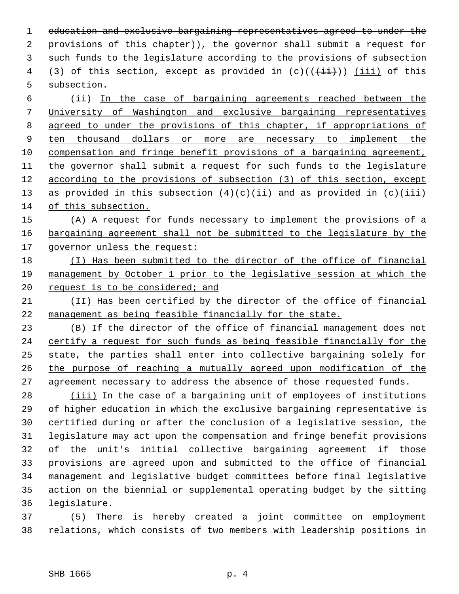1 education and exclusive bargaining representatives agreed to under the 2 provisions of this chapter)), the governor shall submit a request for 3 such funds to the legislature according to the provisions of subsection 4 (3) of this section, except as provided in  $(c)((\overrightarrow{ii}))$  (iii) of this 5 subsection.

 6 (ii) In the case of bargaining agreements reached between the University of Washington and exclusive bargaining representatives agreed to under the provisions of this chapter, if appropriations of ten thousand dollars or more are necessary to implement the compensation and fringe benefit provisions of a bargaining agreement, the governor shall submit a request for such funds to the legislature according to the provisions of subsection (3) of this section, except 13 as provided in this subsection  $(4)(c)(ii)$  and as provided in  $(c)(iii)$ of this subsection.

15 (A) A request for funds necessary to implement the provisions of a 16 bargaining agreement shall not be submitted to the legislature by the 17 governor unless the request:

- 18 (I) Has been submitted to the director of the office of financial 19 management by October 1 prior to the legislative session at which the 20 request is to be considered; and
- 21 (II) Has been certified by the director of the office of financial 22 management as being feasible financially for the state.

 (B) If the director of the office of financial management does not certify a request for such funds as being feasible financially for the state, the parties shall enter into collective bargaining solely for the purpose of reaching a mutually agreed upon modification of the agreement necessary to address the absence of those requested funds.

28 (iii) In the case of a bargaining unit of employees of institutions 29 of higher education in which the exclusive bargaining representative is 30 certified during or after the conclusion of a legislative session, the 31 legislature may act upon the compensation and fringe benefit provisions 32 of the unit's initial collective bargaining agreement if those 33 provisions are agreed upon and submitted to the office of financial 34 management and legislative budget committees before final legislative 35 action on the biennial or supplemental operating budget by the sitting 36 legislature.

37 (5) There is hereby created a joint committee on employment 38 relations, which consists of two members with leadership positions in